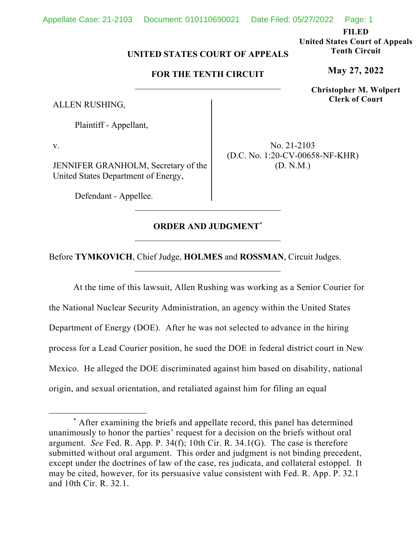**FILED** 

**United States Court of Appeals Tenth Circuit** 

**May 27, 2022**

**Christopher M. Wolpert Clerk of Court**

## **UNITED STATES COURT OF APPEALS**

## **FOR THE TENTH CIRCUIT**

ALLEN RUSHING,

Plaintiff - Appellant,

v.

JENNIFER GRANHOLM, Secretary of the United States Department of Energy,

Defendant - Appellee.

No. 21-2103 (D.C. No. 1:20-CV-00658-NF-KHR) (D. N.M.)

# **ORDER AND JUDGMENT\***

\_\_\_\_\_\_\_\_\_\_\_\_\_\_\_\_\_\_\_\_\_\_\_\_\_\_\_\_\_\_\_\_\_

Before **TYMKOVICH**, Chief Judge, **HOLMES** and **ROSSMAN**, Circuit Judges.

At the time of this lawsuit, Allen Rushing was working as a Senior Courier for the National Nuclear Security Administration, an agency within the United States Department of Energy (DOE). After he was not selected to advance in the hiring process for a Lead Courier position, he sued the DOE in federal district court in New Mexico. He alleged the DOE discriminated against him based on disability, national origin, and sexual orientation, and retaliated against him for filing an equal

<sup>\*</sup> After examining the briefs and appellate record, this panel has determined unanimously to honor the parties' request for a decision on the briefs without oral argument. *See* Fed. R. App. P. 34(f); 10th Cir. R. 34.1(G). The case is therefore submitted without oral argument. This order and judgment is not binding precedent, except under the doctrines of law of the case, res judicata, and collateral estoppel. It may be cited, however, for its persuasive value consistent with Fed. R. App. P. 32.1 and 10th Cir. R. 32.1.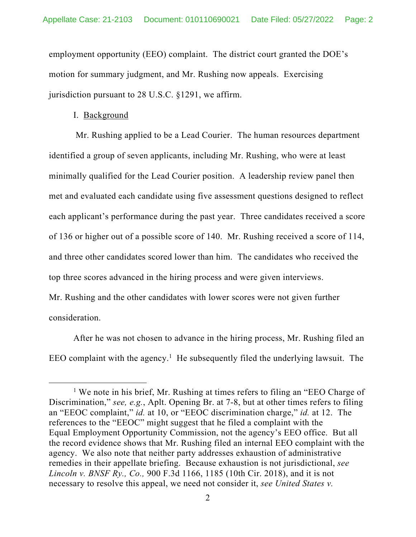employment opportunity (EEO) complaint. The district court granted the DOE's motion for summary judgment, and Mr. Rushing now appeals. Exercising jurisdiction pursuant to 28 U.S.C. §1291, we affirm.

### I. Background

 Mr. Rushing applied to be a Lead Courier. The human resources department identified a group of seven applicants, including Mr. Rushing, who were at least minimally qualified for the Lead Courier position. A leadership review panel then met and evaluated each candidate using five assessment questions designed to reflect each applicant's performance during the past year. Three candidates received a score of 136 or higher out of a possible score of 140. Mr. Rushing received a score of 114, and three other candidates scored lower than him. The candidates who received the top three scores advanced in the hiring process and were given interviews. Mr. Rushing and the other candidates with lower scores were not given further consideration.

After he was not chosen to advance in the hiring process, Mr. Rushing filed an EEO complaint with the agency.<sup>1</sup> He subsequently filed the underlying lawsuit. The

<sup>&</sup>lt;sup>1</sup> We note in his brief, Mr. Rushing at times refers to filing an "EEO Charge of Discrimination," *see, e.g.*, Aplt. Opening Br. at 7-8, but at other times refers to filing an "EEOC complaint," *id.* at 10, or "EEOC discrimination charge," *id.* at 12. The references to the "EEOC" might suggest that he filed a complaint with the Equal Employment Opportunity Commission, not the agency's EEO office. But all the record evidence shows that Mr. Rushing filed an internal EEO complaint with the agency. We also note that neither party addresses exhaustion of administrative remedies in their appellate briefing. Because exhaustion is not jurisdictional, *see Lincoln v. BNSF Ry., Co.,* 900 F.3d 1166, 1185 (10th Cir. 2018), and it is not necessary to resolve this appeal, we need not consider it, *see United States v.*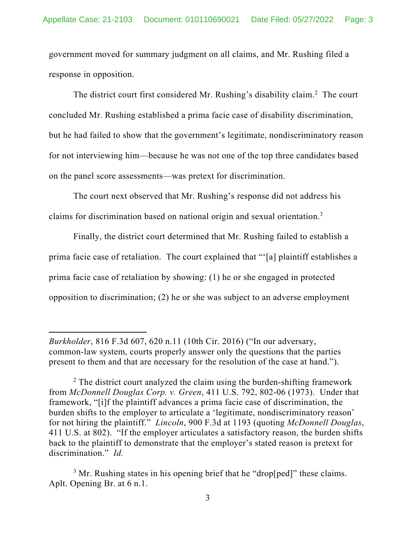government moved for summary judgment on all claims, and Mr. Rushing filed a response in opposition.

The district court first considered Mr. Rushing's disability claim.<sup>2</sup> The court concluded Mr. Rushing established a prima facie case of disability discrimination, but he had failed to show that the government's legitimate, nondiscriminatory reason for not interviewing him—because he was not one of the top three candidates based on the panel score assessments—was pretext for discrimination.

The court next observed that Mr. Rushing's response did not address his claims for discrimination based on national origin and sexual orientation. $3$ 

Finally, the district court determined that Mr. Rushing failed to establish a prima facie case of retaliation. The court explained that "'[a] plaintiff establishes a prima facie case of retaliation by showing: (1) he or she engaged in protected opposition to discrimination; (2) he or she was subject to an adverse employment

*Burkholder*, 816 F.3d 607, 620 n.11 (10th Cir. 2016) ("In our adversary, common-law system, courts properly answer only the questions that the parties present to them and that are necessary for the resolution of the case at hand.").

 $2$  The district court analyzed the claim using the burden-shifting framework from *McDonnell Douglas Corp. v. Green*, 411 U.S. 792, 802-06 (1973). Under that framework, "[i]f the plaintiff advances a prima facie case of discrimination, the burden shifts to the employer to articulate a 'legitimate, nondiscriminatory reason' for not hiring the plaintiff." *Lincoln*, 900 F.3d at 1193 (quoting *McDonnell Douglas*, 411 U.S. at 802). "If the employer articulates a satisfactory reason, the burden shifts back to the plaintiff to demonstrate that the employer's stated reason is pretext for discrimination." *Id.*

 $3$  Mr. Rushing states in his opening brief that he "drop[ped]" these claims. Aplt. Opening Br. at 6 n.1.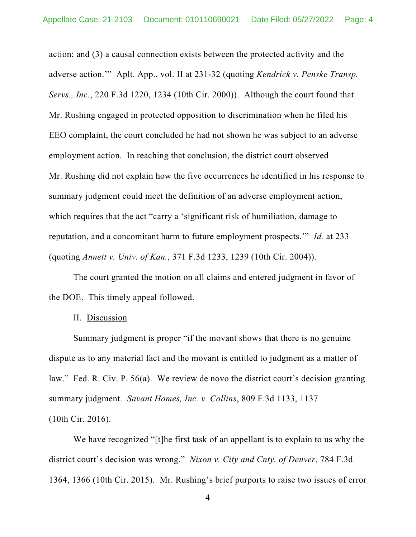action; and (3) a causal connection exists between the protected activity and the adverse action.'" Aplt. App., vol. II at 231-32 (quoting *Kendrick v. Penske Transp. Servs., Inc.*, 220 F.3d 1220, 1234 (10th Cir. 2000)). Although the court found that Mr. Rushing engaged in protected opposition to discrimination when he filed his EEO complaint, the court concluded he had not shown he was subject to an adverse employment action. In reaching that conclusion, the district court observed Mr. Rushing did not explain how the five occurrences he identified in his response to summary judgment could meet the definition of an adverse employment action, which requires that the act "carry a 'significant risk of humiliation, damage to reputation, and a concomitant harm to future employment prospects.'" *Id.* at 233 (quoting *Annett v. Univ. of Kan.*, 371 F.3d 1233, 1239 (10th Cir. 2004)).

The court granted the motion on all claims and entered judgment in favor of the DOE. This timely appeal followed.

#### II. Discussion

Summary judgment is proper "if the movant shows that there is no genuine dispute as to any material fact and the movant is entitled to judgment as a matter of law." Fed. R. Civ. P. 56(a). We review de novo the district court's decision granting summary judgment. *Savant Homes, Inc. v. Collins*, 809 F.3d 1133, 1137 (10th Cir. 2016).

We have recognized "[t]he first task of an appellant is to explain to us why the district court's decision was wrong." *Nixon v. City and Cnty. of Denver*, 784 F.3d 1364, 1366 (10th Cir. 2015). Mr. Rushing's brief purports to raise two issues of error

4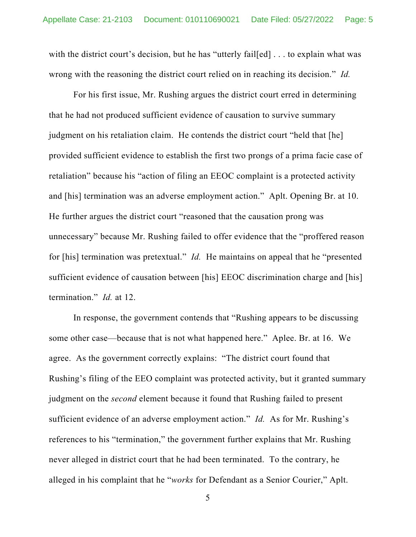with the district court's decision, but he has "utterly fail[ed] . . . to explain what was wrong with the reasoning the district court relied on in reaching its decision." *Id.*

For his first issue, Mr. Rushing argues the district court erred in determining that he had not produced sufficient evidence of causation to survive summary judgment on his retaliation claim. He contends the district court "held that [he] provided sufficient evidence to establish the first two prongs of a prima facie case of retaliation" because his "action of filing an EEOC complaint is a protected activity and [his] termination was an adverse employment action." Aplt. Opening Br. at 10. He further argues the district court "reasoned that the causation prong was unnecessary" because Mr. Rushing failed to offer evidence that the "proffered reason for [his] termination was pretextual." *Id.* He maintains on appeal that he "presented sufficient evidence of causation between [his] EEOC discrimination charge and [his] termination." *Id.* at 12.

In response, the government contends that "Rushing appears to be discussing some other case—because that is not what happened here." Aplee. Br. at 16. We agree. As the government correctly explains: "The district court found that Rushing's filing of the EEO complaint was protected activity, but it granted summary judgment on the *second* element because it found that Rushing failed to present sufficient evidence of an adverse employment action." *Id.* As for Mr. Rushing's references to his "termination," the government further explains that Mr. Rushing never alleged in district court that he had been terminated. To the contrary, he alleged in his complaint that he "*works* for Defendant as a Senior Courier," Aplt.

5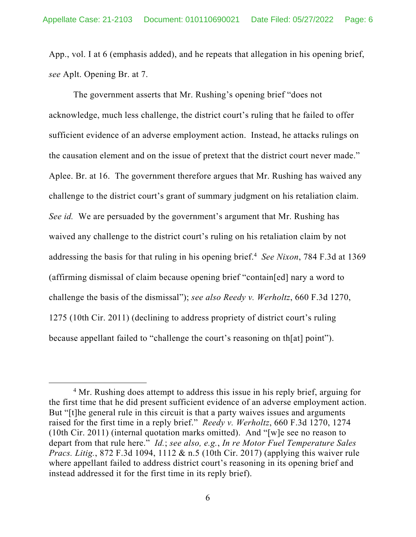App., vol. I at 6 (emphasis added), and he repeats that allegation in his opening brief, *see* Aplt. Opening Br. at 7.

The government asserts that Mr. Rushing's opening brief "does not acknowledge, much less challenge, the district court's ruling that he failed to offer sufficient evidence of an adverse employment action. Instead, he attacks rulings on the causation element and on the issue of pretext that the district court never made." Aplee. Br. at 16. The government therefore argues that Mr. Rushing has waived any challenge to the district court's grant of summary judgment on his retaliation claim. *See id.* We are persuaded by the government's argument that Mr. Rushing has waived any challenge to the district court's ruling on his retaliation claim by not addressing the basis for that ruling in his opening brief.<sup>4</sup> See Nixon, 784 F.3d at 1369 (affirming dismissal of claim because opening brief "contain[ed] nary a word to challenge the basis of the dismissal"); *see also Reedy v. Werholtz*, 660 F.3d 1270, 1275 (10th Cir. 2011) (declining to address propriety of district court's ruling because appellant failed to "challenge the court's reasoning on th[at] point").

<sup>&</sup>lt;sup>4</sup> Mr. Rushing does attempt to address this issue in his reply brief, arguing for the first time that he did present sufficient evidence of an adverse employment action. But "[t]he general rule in this circuit is that a party waives issues and arguments raised for the first time in a reply brief." *Reedy v. Werholtz*, 660 F.3d 1270, 1274 (10th Cir. 2011) (internal quotation marks omitted). And "[w]e see no reason to depart from that rule here." *Id.*; *see also, e.g.*, *In re Motor Fuel Temperature Sales Pracs. Litig.*, 872 F.3d 1094, 1112 & n.5 (10th Cir. 2017) (applying this waiver rule where appellant failed to address district court's reasoning in its opening brief and instead addressed it for the first time in its reply brief).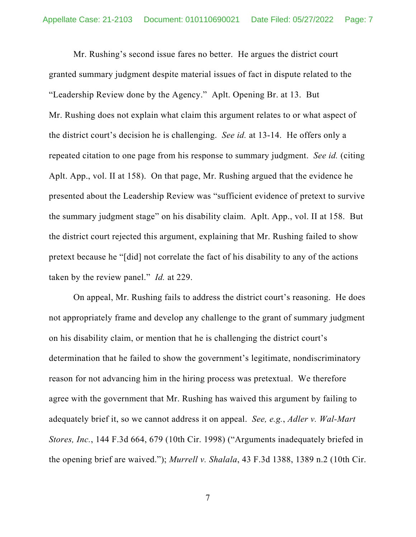Mr. Rushing's second issue fares no better. He argues the district court granted summary judgment despite material issues of fact in dispute related to the "Leadership Review done by the Agency." Aplt. Opening Br. at 13. But Mr. Rushing does not explain what claim this argument relates to or what aspect of the district court's decision he is challenging. *See id.* at 13-14. He offers only a repeated citation to one page from his response to summary judgment. *See id.* (citing Aplt. App., vol. II at 158). On that page, Mr. Rushing argued that the evidence he presented about the Leadership Review was "sufficient evidence of pretext to survive the summary judgment stage" on his disability claim. Aplt. App., vol. II at 158. But the district court rejected this argument, explaining that Mr. Rushing failed to show pretext because he "[did] not correlate the fact of his disability to any of the actions taken by the review panel." *Id.* at 229.

On appeal, Mr. Rushing fails to address the district court's reasoning. He does not appropriately frame and develop any challenge to the grant of summary judgment on his disability claim, or mention that he is challenging the district court's determination that he failed to show the government's legitimate, nondiscriminatory reason for not advancing him in the hiring process was pretextual. We therefore agree with the government that Mr. Rushing has waived this argument by failing to adequately brief it, so we cannot address it on appeal. *See, e.g.*, *Adler v. Wal-Mart Stores, Inc.*, 144 F.3d 664, 679 (10th Cir. 1998) ("Arguments inadequately briefed in the opening brief are waived."); *Murrell v. Shalala*, 43 F.3d 1388, 1389 n.2 (10th Cir.

7